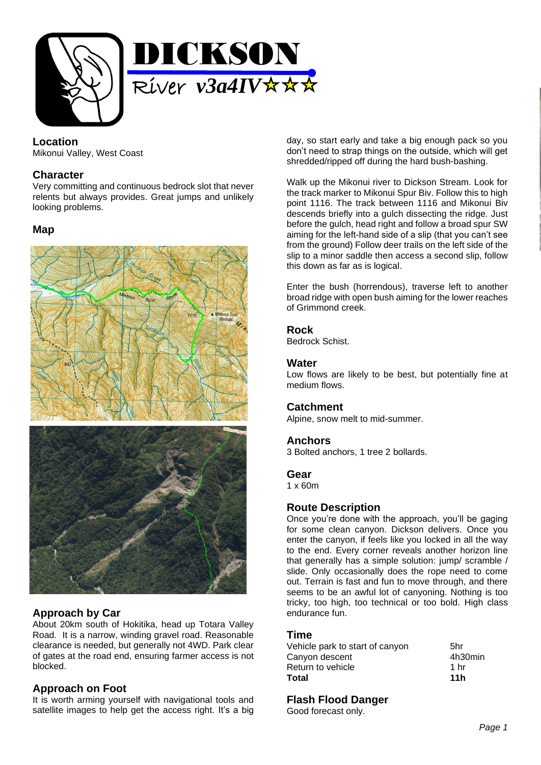

### **Location**

Mikonui Valley, West Coast

### **Character**

Very committing and continuous bedrock slot that never relents but always provides. Great jumps and unlikely looking problems.

### **Map**



# **Approach by Car**

About 20km south of Hokitika, head up Totara Valley Road. It is a narrow, winding gravel road. Reasonable clearance is needed, but generally not 4WD. Park clear of gates at the road end, ensuring farmer access is not blocked.

# **Approach on Foot**

It is worth arming yourself with navigational tools and satellite images to help get the access right. It's a big day, so start early and take a big enough pack so you don't need to strap things on the outside, which will get shredded/ripped off during the hard bush-bashing.

Walk up the Mikonui river to Dickson Stream. Look for the track marker to Mikonui Spur Biv. Follow this to high point 1116. The track between 1116 and Mikonui Biv descends briefly into a gulch dissecting the ridge. Just before the gulch, head right and follow a broad spur SW aiming for the left-hand side of a slip (that you can't see from the ground) Follow deer trails on the left side of the slip to a minor saddle then access a second slip, follow this down as far as is logical.

Enter the bush (horrendous), traverse left to another broad ridge with open bush aiming for the lower reaches of Grimmond creek.

### **Rock**

Bedrock Schist.

#### **Water**

Low flows are likely to be best, but potentially fine at medium flows.

# **Catchment**

Alpine, snow melt to mid-summer.

### **Anchors**

3 Bolted anchors, 1 tree 2 bollards.

#### **Gear**

1 x 60m

# **Route Description**

Once you're done with the approach, you'll be gaging for some clean canyon. Dickson delivers. Once you enter the canyon, if feels like you locked in all the way to the end. Every corner reveals another horizon line that generally has a simple solution: jump/ scramble / slide. Only occasionally does the rope need to come out. Terrain is fast and fun to move through, and there seems to be an awful lot of canyoning. Nothing is too tricky, too high, too technical or too bold. High class endurance fun.

### **Time**

| Vehicle park to start of canyon     | 5hr             |
|-------------------------------------|-----------------|
| Canyon descent<br>Return to vehicle | 4h30min<br>1 hr |
| Total                               | 11h             |

# **Flash Flood Danger**

Good forecast only.